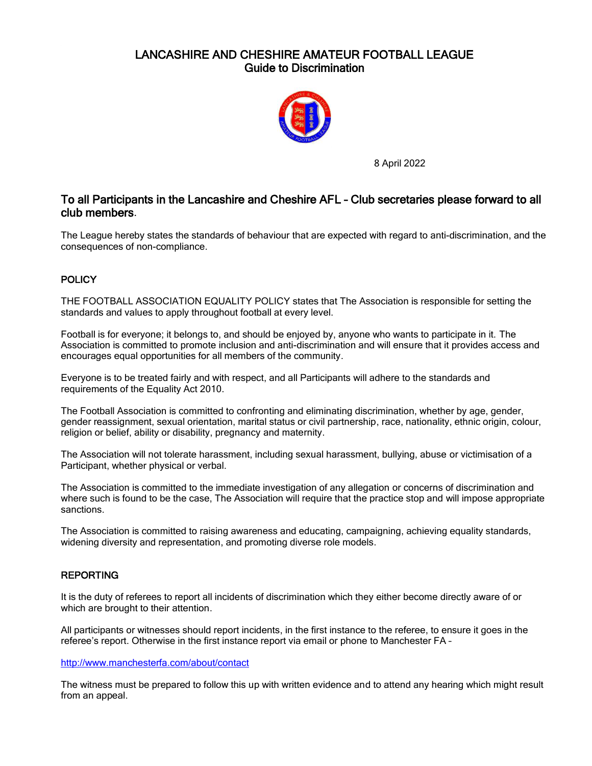# LANCASHIRE AND CHESHIRE AMATEUR FOOTBALL LEAGUE Guide to Discrimination



8 April 2022

# To all Participants in the Lancashire and Cheshire AFL – Club secretaries please forward to all club members.

The League hereby states the standards of behaviour that are expected with regard to anti-discrimination, and the consequences of non-compliance.

# **POLICY**

THE FOOTBALL ASSOCIATION EQUALITY POLICY states that The Association is responsible for setting the standards and values to apply throughout football at every level.

Football is for everyone; it belongs to, and should be enjoyed by, anyone who wants to participate in it. The Association is committed to promote inclusion and anti-discrimination and will ensure that it provides access and encourages equal opportunities for all members of the community.

Everyone is to be treated fairly and with respect, and all Participants will adhere to the standards and requirements of the Equality Act 2010.

The Football Association is committed to confronting and eliminating discrimination, whether by age, gender, gender reassignment, sexual orientation, marital status or civil partnership, race, nationality, ethnic origin, colour, religion or belief, ability or disability, pregnancy and maternity.

The Association will not tolerate harassment, including sexual harassment, bullying, abuse or victimisation of a Participant, whether physical or verbal.

The Association is committed to the immediate investigation of any allegation or concerns of discrimination and where such is found to be the case, The Association will require that the practice stop and will impose appropriate sanctions.

The Association is committed to raising awareness and educating, campaigning, achieving equality standards, widening diversity and representation, and promoting diverse role models.

## REPORTING

It is the duty of referees to report all incidents of discrimination which they either become directly aware of or which are brought to their attention.

All participants or witnesses should report incidents, in the first instance to the referee, to ensure it goes in the referee's report. Otherwise in the first instance report via email or phone to Manchester FA –

#### <http://www.manchesterfa.com/about/contact>

The witness must be prepared to follow this up with written evidence and to attend any hearing which might result from an appeal.